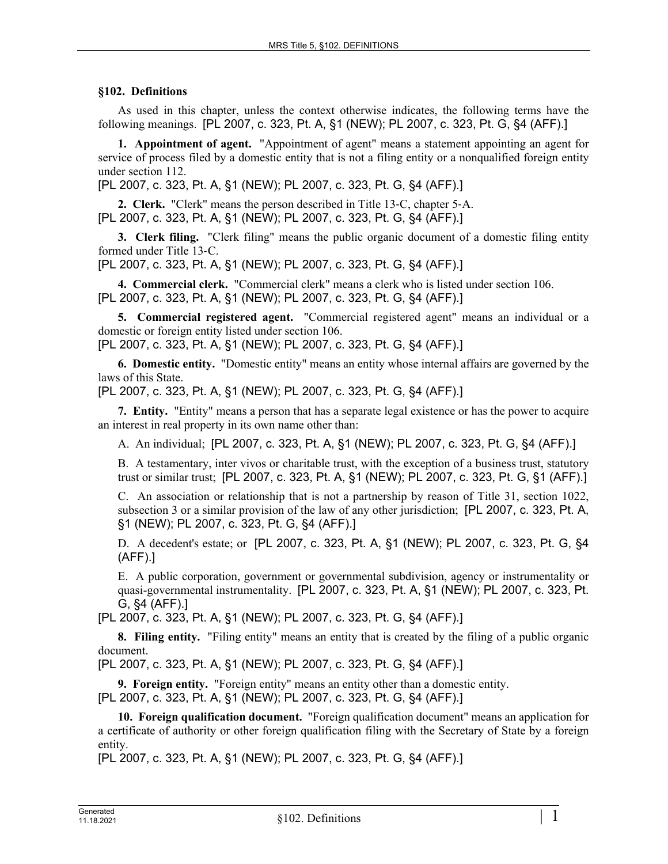## **§102. Definitions**

As used in this chapter, unless the context otherwise indicates, the following terms have the following meanings. [PL 2007, c. 323, Pt. A, §1 (NEW); PL 2007, c. 323, Pt. G, §4 (AFF).]

**1. Appointment of agent.** "Appointment of agent" means a statement appointing an agent for service of process filed by a domestic entity that is not a filing entity or a nonqualified foreign entity under section 112.

[PL 2007, c. 323, Pt. A, §1 (NEW); PL 2007, c. 323, Pt. G, §4 (AFF).]

**2. Clerk.** "Clerk" means the person described in Title 13‑C, chapter 5‑A. [PL 2007, c. 323, Pt. A, §1 (NEW); PL 2007, c. 323, Pt. G, §4 (AFF).]

**3. Clerk filing.** "Clerk filing" means the public organic document of a domestic filing entity formed under Title 13‑C.

[PL 2007, c. 323, Pt. A, §1 (NEW); PL 2007, c. 323, Pt. G, §4 (AFF).]

**4. Commercial clerk.** "Commercial clerk" means a clerk who is listed under section 106. [PL 2007, c. 323, Pt. A, §1 (NEW); PL 2007, c. 323, Pt. G, §4 (AFF).]

**5. Commercial registered agent.** "Commercial registered agent" means an individual or a domestic or foreign entity listed under section 106. [PL 2007, c. 323, Pt. A, §1 (NEW); PL 2007, c. 323, Pt. G, §4 (AFF).]

**6. Domestic entity.** "Domestic entity" means an entity whose internal affairs are governed by the laws of this State.

[PL 2007, c. 323, Pt. A, §1 (NEW); PL 2007, c. 323, Pt. G, §4 (AFF).]

**7. Entity.** "Entity" means a person that has a separate legal existence or has the power to acquire an interest in real property in its own name other than:

A. An individual; [PL 2007, c. 323, Pt. A, §1 (NEW); PL 2007, c. 323, Pt. G, §4 (AFF).]

B. A testamentary, inter vivos or charitable trust, with the exception of a business trust, statutory trust or similar trust; [PL 2007, c. 323, Pt. A, §1 (NEW); PL 2007, c. 323, Pt. G, §1 (AFF).]

C. An association or relationship that is not a partnership by reason of Title 31, section 1022, subsection 3 or a similar provision of the law of any other jurisdiction; [PL 2007, c. 323, Pt. A, §1 (NEW); PL 2007, c. 323, Pt. G, §4 (AFF).]

D. A decedent's estate; or [PL 2007, c. 323, Pt. A, §1 (NEW); PL 2007, c. 323, Pt. G, §4 (AFF).]

E. A public corporation, government or governmental subdivision, agency or instrumentality or quasi-governmental instrumentality. [PL 2007, c. 323, Pt. A, §1 (NEW); PL 2007, c. 323, Pt. G, §4 (AFF).]

[PL 2007, c. 323, Pt. A, §1 (NEW); PL 2007, c. 323, Pt. G, §4 (AFF).]

**8. Filing entity.** "Filing entity" means an entity that is created by the filing of a public organic document.

[PL 2007, c. 323, Pt. A, §1 (NEW); PL 2007, c. 323, Pt. G, §4 (AFF).]

**9. Foreign entity.** "Foreign entity" means an entity other than a domestic entity. [PL 2007, c. 323, Pt. A, §1 (NEW); PL 2007, c. 323, Pt. G, §4 (AFF).]

**10. Foreign qualification document.** "Foreign qualification document" means an application for a certificate of authority or other foreign qualification filing with the Secretary of State by a foreign entity.

[PL 2007, c. 323, Pt. A, §1 (NEW); PL 2007, c. 323, Pt. G, §4 (AFF).]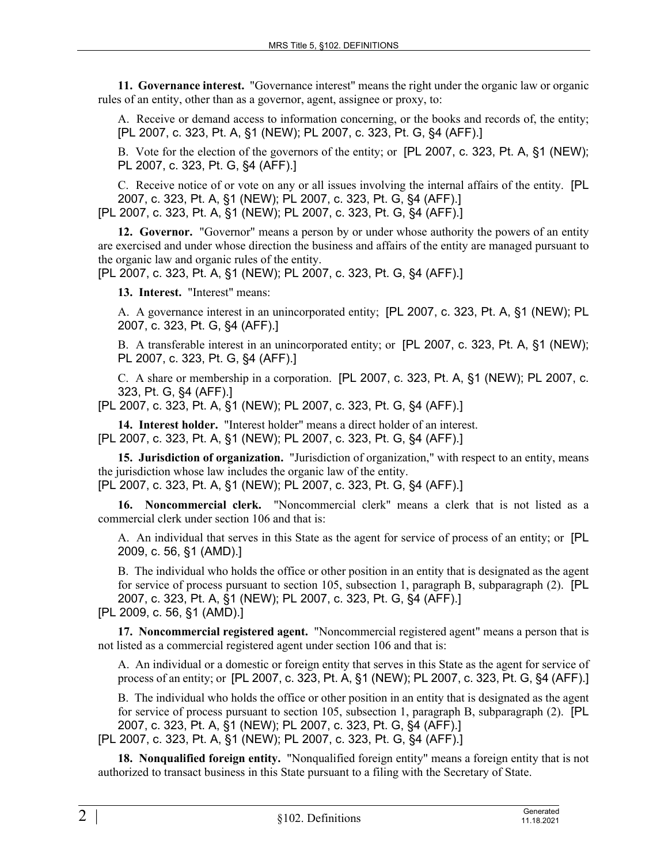**11. Governance interest.** "Governance interest" means the right under the organic law or organic rules of an entity, other than as a governor, agent, assignee or proxy, to:

A. Receive or demand access to information concerning, or the books and records of, the entity; [PL 2007, c. 323, Pt. A, §1 (NEW); PL 2007, c. 323, Pt. G, §4 (AFF).]

B. Vote for the election of the governors of the entity; or [PL 2007, c. 323, Pt. A, §1 (NEW); PL 2007, c. 323, Pt. G, §4 (AFF).]

C. Receive notice of or vote on any or all issues involving the internal affairs of the entity. [PL 2007, c. 323, Pt. A, §1 (NEW); PL 2007, c. 323, Pt. G, §4 (AFF).]

[PL 2007, c. 323, Pt. A, §1 (NEW); PL 2007, c. 323, Pt. G, §4 (AFF).]

**12. Governor.** "Governor" means a person by or under whose authority the powers of an entity are exercised and under whose direction the business and affairs of the entity are managed pursuant to the organic law and organic rules of the entity.

[PL 2007, c. 323, Pt. A, §1 (NEW); PL 2007, c. 323, Pt. G, §4 (AFF).]

**13. Interest.** "Interest" means:

A. A governance interest in an unincorporated entity; [PL 2007, c. 323, Pt. A, §1 (NEW); PL 2007, c. 323, Pt. G, §4 (AFF).]

B. A transferable interest in an unincorporated entity; or [PL 2007, c. 323, Pt. A, §1 (NEW); PL 2007, c. 323, Pt. G, §4 (AFF).]

C. A share or membership in a corporation. [PL 2007, c. 323, Pt. A, §1 (NEW); PL 2007, c. 323, Pt. G, §4 (AFF).]

[PL 2007, c. 323, Pt. A, §1 (NEW); PL 2007, c. 323, Pt. G, §4 (AFF).]

**14. Interest holder.** "Interest holder" means a direct holder of an interest. [PL 2007, c. 323, Pt. A, §1 (NEW); PL 2007, c. 323, Pt. G, §4 (AFF).]

**15. Jurisdiction of organization.** "Jurisdiction of organization," with respect to an entity, means the jurisdiction whose law includes the organic law of the entity. [PL 2007, c. 323, Pt. A, §1 (NEW); PL 2007, c. 323, Pt. G, §4 (AFF).]

**16. Noncommercial clerk.** "Noncommercial clerk" means a clerk that is not listed as a commercial clerk under section 106 and that is:

A. An individual that serves in this State as the agent for service of process of an entity; or [PL 2009, c. 56, §1 (AMD).]

B. The individual who holds the office or other position in an entity that is designated as the agent for service of process pursuant to section 105, subsection 1, paragraph B, subparagraph (2). [PL 2007, c. 323, Pt. A, §1 (NEW); PL 2007, c. 323, Pt. G, §4 (AFF).]

[PL 2009, c. 56, §1 (AMD).]

**17. Noncommercial registered agent.** "Noncommercial registered agent" means a person that is not listed as a commercial registered agent under section 106 and that is:

A. An individual or a domestic or foreign entity that serves in this State as the agent for service of process of an entity; or [PL 2007, c. 323, Pt. A, §1 (NEW); PL 2007, c. 323, Pt. G, §4 (AFF).]

B. The individual who holds the office or other position in an entity that is designated as the agent for service of process pursuant to section 105, subsection 1, paragraph B, subparagraph (2). [PL 2007, c. 323, Pt. A, §1 (NEW); PL 2007, c. 323, Pt. G, §4 (AFF).] [PL 2007, c. 323, Pt. A, §1 (NEW); PL 2007, c. 323, Pt. G, §4 (AFF).]

**18. Nonqualified foreign entity.** "Nonqualified foreign entity" means a foreign entity that is not authorized to transact business in this State pursuant to a filing with the Secretary of State.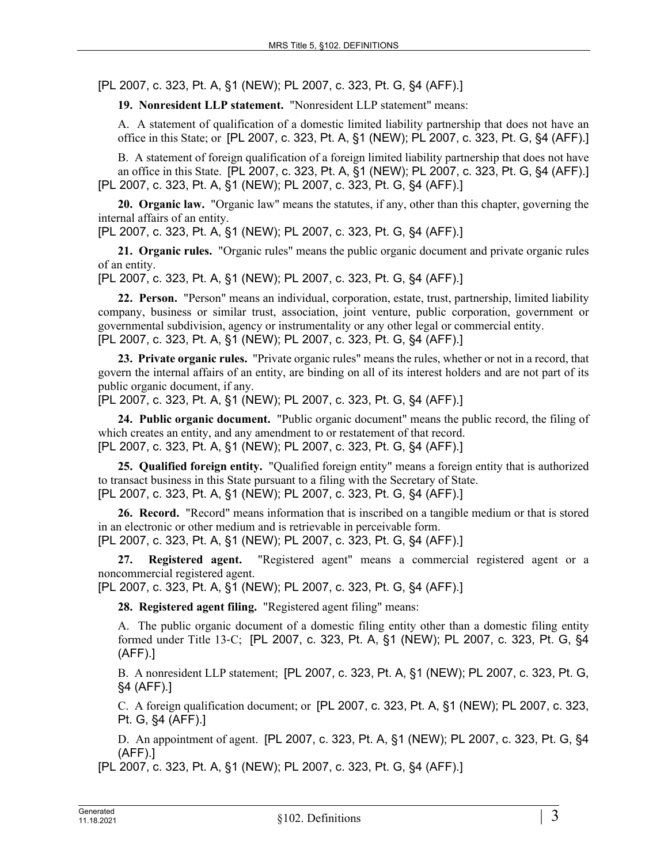[PL 2007, c. 323, Pt. A, §1 (NEW); PL 2007, c. 323, Pt. G, §4 (AFF).]

**19. Nonresident LLP statement.** "Nonresident LLP statement" means:

A. A statement of qualification of a domestic limited liability partnership that does not have an office in this State; or [PL 2007, c. 323, Pt. A, §1 (NEW); PL 2007, c. 323, Pt. G, §4 (AFF).]

B. A statement of foreign qualification of a foreign limited liability partnership that does not have an office in this State. [PL 2007, c. 323, Pt. A, §1 (NEW); PL 2007, c. 323, Pt. G, §4 (AFF).] [PL 2007, c. 323, Pt. A, §1 (NEW); PL 2007, c. 323, Pt. G, §4 (AFF).]

**20. Organic law.** "Organic law" means the statutes, if any, other than this chapter, governing the internal affairs of an entity.

[PL 2007, c. 323, Pt. A, §1 (NEW); PL 2007, c. 323, Pt. G, §4 (AFF).]

**21. Organic rules.** "Organic rules" means the public organic document and private organic rules of an entity.

[PL 2007, c. 323, Pt. A, §1 (NEW); PL 2007, c. 323, Pt. G, §4 (AFF).]

**22. Person.** "Person" means an individual, corporation, estate, trust, partnership, limited liability company, business or similar trust, association, joint venture, public corporation, government or governmental subdivision, agency or instrumentality or any other legal or commercial entity. [PL 2007, c. 323, Pt. A, §1 (NEW); PL 2007, c. 323, Pt. G, §4 (AFF).]

**23. Private organic rules.** "Private organic rules" means the rules, whether or not in a record, that govern the internal affairs of an entity, are binding on all of its interest holders and are not part of its public organic document, if any.

[PL 2007, c. 323, Pt. A, §1 (NEW); PL 2007, c. 323, Pt. G, §4 (AFF).]

**24. Public organic document.** "Public organic document" means the public record, the filing of which creates an entity, and any amendment to or restatement of that record. [PL 2007, c. 323, Pt. A, §1 (NEW); PL 2007, c. 323, Pt. G, §4 (AFF).]

**25. Qualified foreign entity.** "Qualified foreign entity" means a foreign entity that is authorized to transact business in this State pursuant to a filing with the Secretary of State. [PL 2007, c. 323, Pt. A, §1 (NEW); PL 2007, c. 323, Pt. G, §4 (AFF).]

**26. Record.** "Record" means information that is inscribed on a tangible medium or that is stored in an electronic or other medium and is retrievable in perceivable form. [PL 2007, c. 323, Pt. A, §1 (NEW); PL 2007, c. 323, Pt. G, §4 (AFF).]

**27. Registered agent.** "Registered agent" means a commercial registered agent or a noncommercial registered agent.

[PL 2007, c. 323, Pt. A, §1 (NEW); PL 2007, c. 323, Pt. G, §4 (AFF).]

**28. Registered agent filing.** "Registered agent filing" means:

A. The public organic document of a domestic filing entity other than a domestic filing entity formed under Title 13‑C; [PL 2007, c. 323, Pt. A, §1 (NEW); PL 2007, c. 323, Pt. G, §4 (AFF).]

B. A nonresident LLP statement; [PL 2007, c. 323, Pt. A, §1 (NEW); PL 2007, c. 323, Pt. G, §4 (AFF).]

C. A foreign qualification document; or [PL 2007, c. 323, Pt. A, §1 (NEW); PL 2007, c. 323, Pt. G, §4 (AFF).]

D. An appointment of agent. [PL 2007, c. 323, Pt. A, §1 (NEW); PL 2007, c. 323, Pt. G, §4 (AFF).]

[PL 2007, c. 323, Pt. A, §1 (NEW); PL 2007, c. 323, Pt. G, §4 (AFF).]